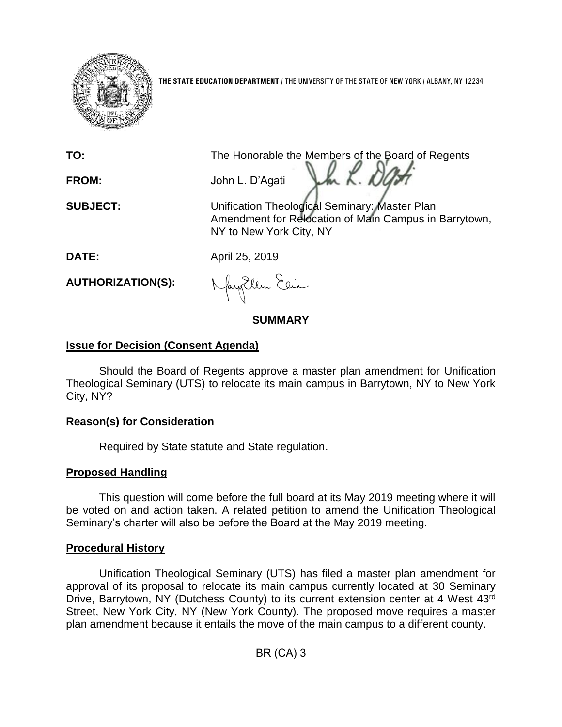

**THE STATE EDUCATION DEPARTMENT** / THE UNIVERSITY OF THE STATE OF NEW YORK / ALBANY, NY 12234

**TO:** The Honorable the Members of the Board of Regents h K. De **FROM:** John L. D'Agati

**SUBJECT:** Unification Theological Seminary: Master Plan Amendment for Relocation of Main Campus in Barrytown, NY to New York City, NY

**DATE:** April 25, 2019

**AUTHORIZATION(S):**

Nagollem Elia

# **SUMMARY**

# **Issue for Decision (Consent Agenda)**

Should the Board of Regents approve a master plan amendment for Unification Theological Seminary (UTS) to relocate its main campus in Barrytown, NY to New York City, NY?

### **Reason(s) for Consideration**

Required by State statute and State regulation.

# **Proposed Handling**

This question will come before the full board at its May 2019 meeting where it will be voted on and action taken. A related petition to amend the Unification Theological Seminary's charter will also be before the Board at the May 2019 meeting.

### **Procedural History**

Unification Theological Seminary (UTS) has filed a master plan amendment for approval of its proposal to relocate its main campus currently located at 30 Seminary Drive, Barrytown, NY (Dutchess County) to its current extension center at 4 West 43rd Street, New York City, NY (New York County). The proposed move requires a master plan amendment because it entails the move of the main campus to a different county.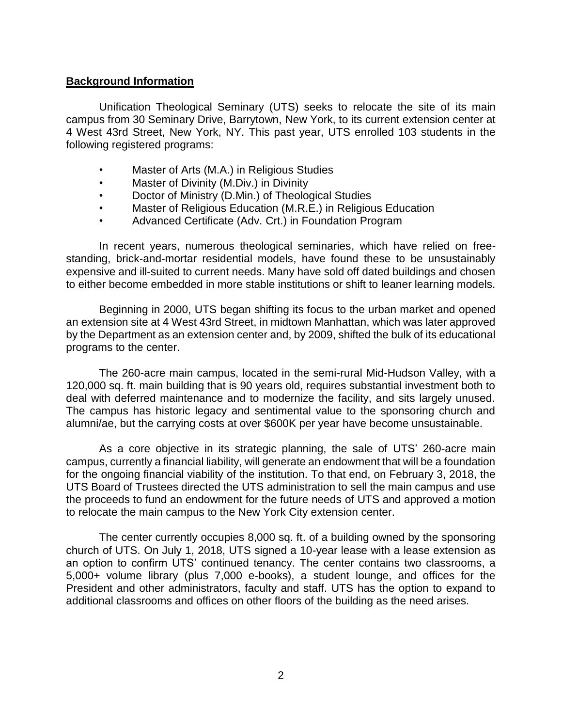### **Background Information**

Unification Theological Seminary (UTS) seeks to relocate the site of its main campus from 30 Seminary Drive, Barrytown, New York, to its current extension center at 4 West 43rd Street, New York, NY. This past year, UTS enrolled 103 students in the following registered programs:

- Master of Arts (M.A.) in Religious Studies
- Master of Divinity (M.Div.) in Divinity
- Doctor of Ministry (D.Min.) of Theological Studies
- Master of Religious Education (M.R.E.) in Religious Education
- Advanced Certificate (Adv. Crt.) in Foundation Program

In recent years, numerous theological seminaries, which have relied on freestanding, brick-and-mortar residential models, have found these to be unsustainably expensive and ill-suited to current needs. Many have sold off dated buildings and chosen to either become embedded in more stable institutions or shift to leaner learning models.

Beginning in 2000, UTS began shifting its focus to the urban market and opened an extension site at 4 West 43rd Street, in midtown Manhattan, which was later approved by the Department as an extension center and, by 2009, shifted the bulk of its educational programs to the center.

The 260-acre main campus, located in the semi-rural Mid-Hudson Valley, with a 120,000 sq. ft. main building that is 90 years old, requires substantial investment both to deal with deferred maintenance and to modernize the facility, and sits largely unused. The campus has historic legacy and sentimental value to the sponsoring church and alumni/ae, but the carrying costs at over \$600K per year have become unsustainable.

As a core objective in its strategic planning, the sale of UTS' 260-acre main campus, currently a financial liability, will generate an endowment that will be a foundation for the ongoing financial viability of the institution. To that end, on February 3, 2018, the UTS Board of Trustees directed the UTS administration to sell the main campus and use the proceeds to fund an endowment for the future needs of UTS and approved a motion to relocate the main campus to the New York City extension center.

The center currently occupies 8,000 sq. ft. of a building owned by the sponsoring church of UTS. On July 1, 2018, UTS signed a 10-year lease with a lease extension as an option to confirm UTS' continued tenancy. The center contains two classrooms, a 5,000+ volume library (plus 7,000 e-books), a student lounge, and offices for the President and other administrators, faculty and staff. UTS has the option to expand to additional classrooms and offices on other floors of the building as the need arises.